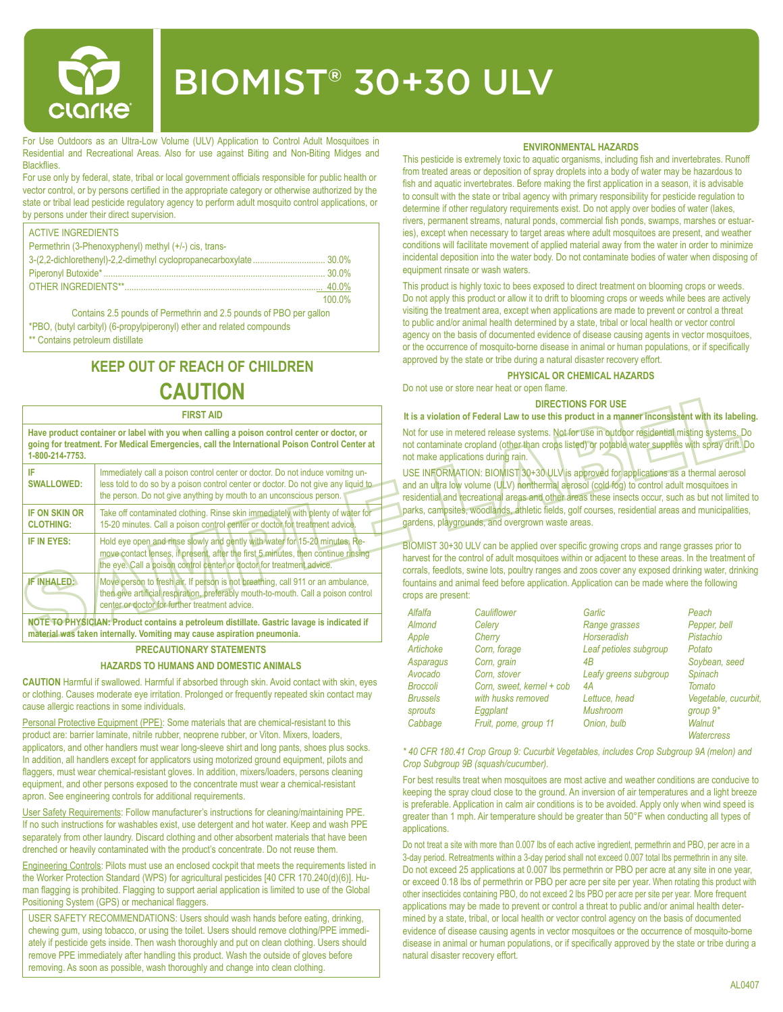

# BIOMIST® 30+30 ULV

For Use Outdoors as an Ultra-Low Volume (ULV) Application to Control Adult Mosquitoes in Residential and Recreational Areas. Also for use against Biting and Non-Biting Midges and **Blackflies** 

For use only by federal, state, tribal or local government officials responsible for public health or vector control, or by persons certified in the appropriate category or otherwise authorized by the state or tribal lead pesticide regulatory agency to perform adult mosquito control applications, or by persons under their direct supervision.

| <b>ACTIVE INGREDIENTS</b>                             |        |
|-------------------------------------------------------|--------|
| Permethrin (3-Phenoxyphenyl) methyl (+/-) cis, trans- |        |
|                                                       |        |
|                                                       |        |
|                                                       |        |
|                                                       | 100.0% |

Contains 2.5 pounds of Permethrin and 2.5 pounds of PBO per gallon \*PBO, (butyl carbityl) (6-propylpiperonyl) ether and related compounds

\*\* Contains petroleum distillate

## **KEEP OUT OF REACH OF CHILDREN CAUTION**

#### **FIRST AID**

**Have product container or label with you when calling a poison control center or doctor, or going for treatment. For Medical Emergencies, call the International Poison Control Center at 1-800-214-7753. IF SWALLOWED:** Immediately call a poison control center or doctor. Do not induce vomitng unless told to do so by a poison control center or doctor. Do not give any liquid to the person. Do not give anything by mouth to an unconscious person. **IF ON SKIN OR CLOTHING:** Take off contaminated clothing. Rinse skin immediately with plenty of water for 15-20 minutes. Call a poison control center or doctor for treatment advice. **IF IN EYES:** Hold eye open and rinse slowly and gently with water for 15-20 minutes. Remove contact lenses, if present, after the first 5 minutes, then continue rinsing the eye. Call a poison control center or doctor for treatment advice. **IF INHALED:** Move person to fresh air. If person is not breathing, call 911 or an ambulance, then give artificial respiration, preferably mouth-to-mouth. Call a poison control center or doctor for further treatment advice.

**NOTE TO PHYSICIAN: Product contains a petroleum distillate. Gastric lavage is indicated if material was taken internally. Vomiting may cause aspiration pneumonia.**

#### **PRECAUTIONARY STATEMENTS**

#### **HAZARDS TO HUMANS AND DOMESTIC ANIMALS**

**CAUTION** Harmful if swallowed. Harmful if absorbed through skin. Avoid contact with skin, eyes or clothing. Causes moderate eye irritation. Prolonged or frequently repeated skin contact may cause allergic reactions in some individuals.

Personal Protective Equipment (PPE): Some materials that are chemical-resistant to this product are: barrier laminate, nitrile rubber, neoprene rubber, or Viton. Mixers, loaders, applicators, and other handlers must wear long-sleeve shirt and long pants, shoes plus socks. In addition, all handlers except for applicators using motorized ground equipment, pilots and flaggers, must wear chemical-resistant gloves. In addition, mixers/loaders, persons cleaning equipment, and other persons exposed to the concentrate must wear a chemical-resistant apron. See engineering controls for additional requirements.

User Safety Requirements: Follow manufacturer's instructions for cleaning/maintaining PPE. If no such instructions for washables exist, use detergent and hot water. Keep and wash PPE separately from other laundry. Discard clothing and other absorbent materials that have been drenched or heavily contaminated with the product's concentrate. Do not reuse them.

Engineering Controls: Pilots must use an enclosed cockpit that meets the requirements listed in the Worker Protection Standard (WPS) for agricultural pesticides [40 CFR 170.240(d)(6)]. Human flagging is prohibited. Flagging to support aerial application is limited to use of the Global Positioning System (GPS) or mechanical flaggers.

USER SAFETY RECOMMENDATIONS: Users should wash hands before eating, drinking, chewing gum, using tobacco, or using the toilet. Users should remove clothing/PPE immediately if pesticide gets inside. Then wash thoroughly and put on clean clothing. Users should remove PPE immediately after handling this product. Wash the outside of gloves before removing. As soon as possible, wash thoroughly and change into clean clothing.

#### **ENVIRONMENTAL HAZARDS**

This pesticide is extremely toxic to aquatic organisms, including fish and invertebrates. Runoff from treated areas or deposition of spray droplets into a body of water may be hazardous to fish and aquatic invertebrates. Before making the first application in a season, it is advisable to consult with the state or tribal agency with primary responsibility for pesticide regulation to determine if other regulatory requirements exist. Do not apply over bodies of water (lakes, rivers, permanent streams, natural ponds, commercial fish ponds, swamps, marshes or estuaries), except when necessary to target areas where adult mosquitoes are present, and weather conditions will facilitate movement of applied material away from the water in order to minimize incidental deposition into the water body. Do not contaminate bodies of water when disposing of equipment rinsate or wash waters.

This product is highly toxic to bees exposed to direct treatment on blooming crops or weeds. Do not apply this product or allow it to drift to blooming crops or weeds while bees are actively visiting the treatment area, except when applications are made to prevent or control a threat to public and/or animal health determined by a state, tribal or local health or vector control agency on the basis of documented evidence of disease causing agents in vector mosquitoes, or the occurrence of mosquito-borne disease in animal or human populations, or if specifically approved by the state or tribe during a natural disaster recovery effort.

#### **PHYSICAL OR CHEMICAL HAZARDS**

Do not use or store near heat or open flame.

#### **DIRECTIONS FOR USE**

**It is a violation of Federal Law to use this product in a manner inconsistent with its labeling.** Not for use in metered release systems. Not for use in outdoor residential misting systems. Do not contaminate cropland (other than crops listed) or potable water supplies with spray drift. Do not make applications during rain.

USE INFORMATION: BIOMIST 30+30 ULV is approved for applications as a thermal aerosol and an ultra low volume (ULV) nonthermal aerosol (cold fog) to control adult mosquitoes in residential and recreational areas and other areas these insects occur, such as but not limited to parks, campsites, woodlands, athletic fields, golf courses, residential areas and municipalities, gardens, playgrounds, and overgrown waste areas.

BIOMIST 30+30 ULV can be applied over specific growing crops and range grasses prior to harvest for the control of adult mosquitoes within or adjacent to these areas. In the treatment of corrals, feedlots, swine lots, poultry ranges and zoos cover any exposed drinking water, drinking fountains and animal feed before application. Application can be made where the following crops are present:

| Alfalfa         | Cauliflower               | Garlic                 | Peach                |
|-----------------|---------------------------|------------------------|----------------------|
| Almond          | Celery                    | Range grasses          | Pepper, bell         |
| Apple           | Cherry                    | <b>Horseradish</b>     | Pistachio            |
| Artichoke       | Corn, forage              | Leaf petioles subgroup | Potato               |
| Asparagus       | Corn, grain               | 4B                     | Soybean, seed        |
| Avocado         | Corn, stover              | Leafy greens subgroup  | Spinach              |
| <b>Broccoli</b> | Corn. sweet. kernel + cob | 4А                     | Tomato               |
| <b>Brussels</b> | with husks removed        | Lettuce, head          | Vegetable, cucurbit, |
| sprouts         | Eggplant                  | <b>Mushroom</b>        | group $9*$           |
| Cabbage         | Fruit, pome, group 11     | Onion, bulb            | Walnut               |
|                 |                           |                        | <b>Watercress</b>    |

*\* 40 CFR 180.41 Crop Group 9: Cucurbit Vegetables, includes Crop Subgroup 9A (melon) and Crop Subgroup 9B (squash/cucumber).*

For best results treat when mosquitoes are most active and weather conditions are conducive to keeping the spray cloud close to the ground. An inversion of air temperatures and a light breeze is preferable. Application in calm air conditions is to be avoided. Apply only when wind speed is greater than 1 mph. Air temperature should be greater than 50°F when conducting all types of applications.

Do not treat a site with more than 0.007 lbs of each active ingredient, permethrin and PBO, per acre in a 3-day period. Retreatments within a 3-day period shall not exceed 0.007 total lbs permethrin in any site. Do not exceed 25 applications at 0.007 lbs permethrin or PBO per acre at any site in one year, or exceed 0.18 lbs of permethrin or PBO per acre per site per year. When rotating this product with other insecticides containing PBO, do not exceed 2 lbs PBO per acre per site per year. More frequent applications may be made to prevent or control a threat to public and/or animal health determined by a state, tribal, or local health or vector control agency on the basis of documented evidence of disease causing agents in vector mosquitoes or the occurrence of mosquito-borne disease in animal or human populations, or if specifically approved by the state or tribe during a natural disaster recovery effort.